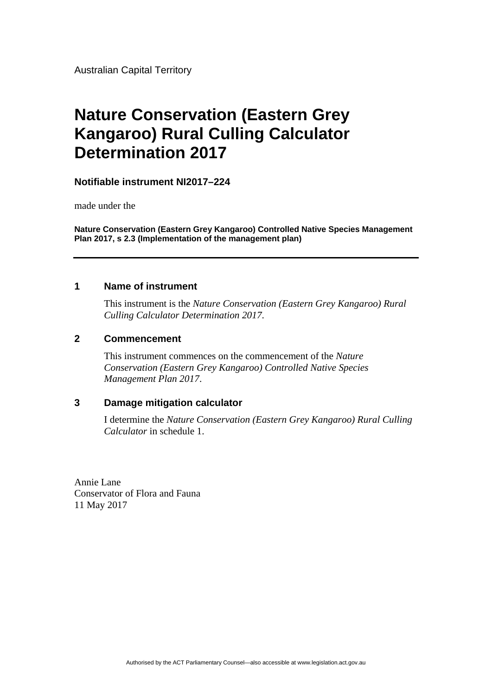Australian Capital Territory

# **Nature Conservation (Eastern Grey Kangaroo) Rural Culling Calculator Determination 2017**

#### **Notifiable instrument NI2017–224**

made under the

**Nature Conservation (Eastern Grey Kangaroo) Controlled Native Species Management Plan 2017, s 2.3 (Implementation of the management plan)**

#### **1 Name of instrument**

This instrument is the *Nature Conservation (Eastern Grey Kangaroo) Rural Culling Calculator Determination 2017*.

#### **2 Commencement**

This instrument commences on the commencement of the *Nature Conservation (Eastern Grey Kangaroo) Controlled Native Species Management Plan 2017*.

#### **3 Damage mitigation calculator**

I determine the *Nature Conservation (Eastern Grey Kangaroo) Rural Culling Calculator* in schedule 1.

Annie Lane Conservator of Flora and Fauna 11 May 2017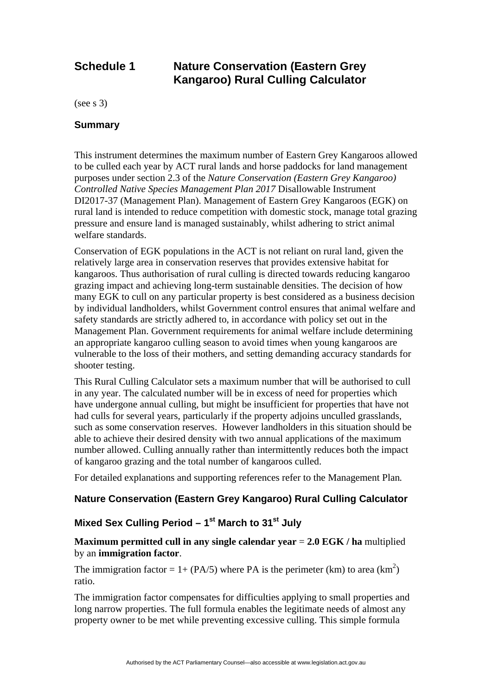### **Schedule 1 Nature Conservation (Eastern Grey Kangaroo) Rural Culling Calculator**

(see s 3)

#### **Summary**

This instrument determines the maximum number of Eastern Grey Kangaroos allowed to be culled each year by ACT rural lands and horse paddocks for land management purposes under section 2.3 of the *Nature Conservation (Eastern Grey Kangaroo) Controlled Native Species Management Plan 2017* Disallowable Instrument DI2017-37 (Management Plan). Management of Eastern Grey Kangaroos (EGK) on rural land is intended to reduce competition with domestic stock, manage total grazing pressure and ensure land is managed sustainably, whilst adhering to strict animal welfare standards.

Conservation of EGK populations in the ACT is not reliant on rural land, given the relatively large area in conservation reserves that provides extensive habitat for kangaroos. Thus authorisation of rural culling is directed towards reducing kangaroo grazing impact and achieving long-term sustainable densities. The decision of how many EGK to cull on any particular property is best considered as a business decision by individual landholders, whilst Government control ensures that animal welfare and safety standards are strictly adhered to, in accordance with policy set out in the Management Plan. Government requirements for animal welfare include determining an appropriate kangaroo culling season to avoid times when young kangaroos are vulnerable to the loss of their mothers, and setting demanding accuracy standards for shooter testing.

This Rural Culling Calculator sets a maximum number that will be authorised to cull in any year. The calculated number will be in excess of need for properties which have undergone annual culling, but might be insufficient for properties that have not had culls for several years, particularly if the property adjoins unculled grasslands, such as some conservation reserves. However landholders in this situation should be able to achieve their desired density with two annual applications of the maximum number allowed. Culling annually rather than intermittently reduces both the impact of kangaroo grazing and the total number of kangaroos culled.

For detailed explanations and supporting references refer to the Management Plan*.*

#### **Nature Conservation (Eastern Grey Kangaroo) Rural Culling Calculator**

#### Mixed Sex Culling Period – 1<sup>st</sup> March to 31<sup>st</sup> July

#### **Maximum permitted cull in any single calendar year** = **2.0 EGK / ha** multiplied by an **immigration factor**.

The immigration factor = 1+ (PA/5) where PA is the perimeter (km) to area (km<sup>2</sup>) ratio.

The immigration factor compensates for difficulties applying to small properties and long narrow properties. The full formula enables the legitimate needs of almost any property owner to be met while preventing excessive culling. This simple formula